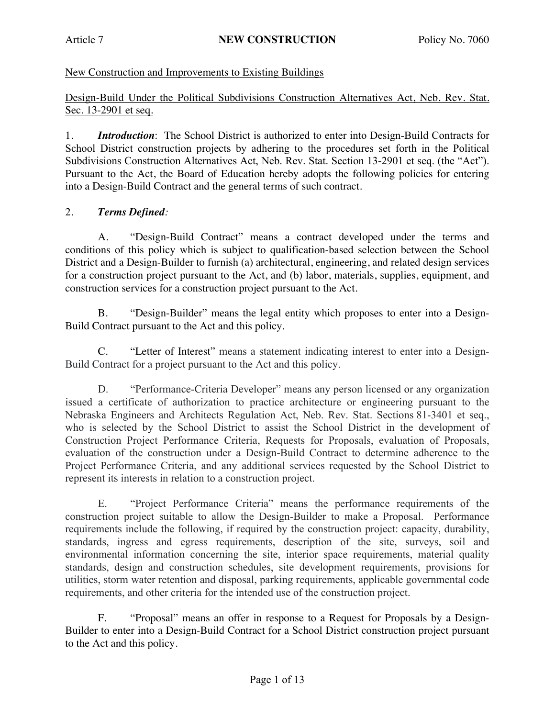# New Construction and Improvements to Existing Buildings

Design-Build Under the Political Subdivisions Construction Alternatives Act, Neb. Rev. Stat. Sec. 13-2901 et seq.

1. *Introduction*: The School District is authorized to enter into Design-Build Contracts for School District construction projects by adhering to the procedures set forth in the Political Subdivisions Construction Alternatives Act, Neb. Rev. Stat. Section 13-2901 et seq. (the "Act"). Pursuant to the Act, the Board of Education hereby adopts the following policies for entering into a Design-Build Contract and the general terms of such contract.

## 2. *Terms Defined:*

A. "Design-Build Contract" means a contract developed under the terms and conditions of this policy which is subject to qualification-based selection between the School District and a Design-Builder to furnish (a) architectural, engineering, and related design services for a construction project pursuant to the Act, and (b) labor, materials, supplies, equipment, and construction services for a construction project pursuant to the Act.

B. "Design-Builder" means the legal entity which proposes to enter into a Design-Build Contract pursuant to the Act and this policy.

C. "Letter of Interest" means a statement indicating interest to enter into a Design-Build Contract for a project pursuant to the Act and this policy.

D. "Performance-Criteria Developer" means any person licensed or any organization issued a certificate of authorization to practice architecture or engineering pursuant to the Nebraska Engineers and Architects Regulation Act, Neb. Rev. Stat. Sections 81-3401 et seq., who is selected by the School District to assist the School District in the development of Construction Project Performance Criteria, Requests for Proposals, evaluation of Proposals, evaluation of the construction under a Design-Build Contract to determine adherence to the Project Performance Criteria, and any additional services requested by the School District to represent its interests in relation to a construction project.

E. "Project Performance Criteria" means the performance requirements of the construction project suitable to allow the Design-Builder to make a Proposal. Performance requirements include the following, if required by the construction project: capacity, durability, standards, ingress and egress requirements, description of the site, surveys, soil and environmental information concerning the site, interior space requirements, material quality standards, design and construction schedules, site development requirements, provisions for utilities, storm water retention and disposal, parking requirements, applicable governmental code requirements, and other criteria for the intended use of the construction project.

F. "Proposal" means an offer in response to a Request for Proposals by a Design-Builder to enter into a Design-Build Contract for a School District construction project pursuant to the Act and this policy.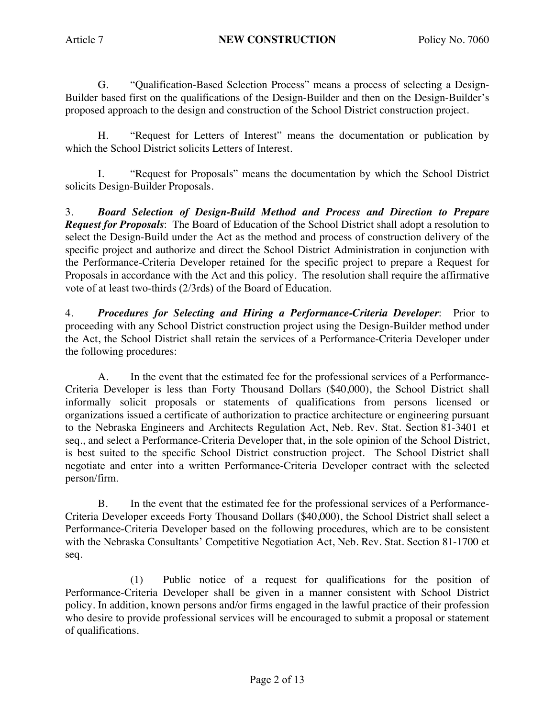G. "Qualification-Based Selection Process" means a process of selecting a Design-Builder based first on the qualifications of the Design-Builder and then on the Design-Builder's proposed approach to the design and construction of the School District construction project.

H. "Request for Letters of Interest" means the documentation or publication by which the School District solicits Letters of Interest.

I. "Request for Proposals" means the documentation by which the School District solicits Design-Builder Proposals.

3. *Board Selection of Design-Build Method and Process and Direction to Prepare Request for Proposals*: The Board of Education of the School District shall adopt a resolution to select the Design-Build under the Act as the method and process of construction delivery of the specific project and authorize and direct the School District Administration in conjunction with the Performance-Criteria Developer retained for the specific project to prepare a Request for Proposals in accordance with the Act and this policy. The resolution shall require the affirmative vote of at least two-thirds (2/3rds) of the Board of Education.

4. *Procedures for Selecting and Hiring a Performance-Criteria Developer*: Prior to proceeding with any School District construction project using the Design-Builder method under the Act, the School District shall retain the services of a Performance-Criteria Developer under the following procedures:

A. In the event that the estimated fee for the professional services of a Performance-Criteria Developer is less than Forty Thousand Dollars (\$40,000), the School District shall informally solicit proposals or statements of qualifications from persons licensed or organizations issued a certificate of authorization to practice architecture or engineering pursuant to the Nebraska Engineers and Architects Regulation Act, Neb. Rev. Stat. Section 81-3401 et seq., and select a Performance-Criteria Developer that, in the sole opinion of the School District, is best suited to the specific School District construction project. The School District shall negotiate and enter into a written Performance-Criteria Developer contract with the selected person/firm.

B. In the event that the estimated fee for the professional services of a Performance-Criteria Developer exceeds Forty Thousand Dollars (\$40,000), the School District shall select a Performance-Criteria Developer based on the following procedures, which are to be consistent with the Nebraska Consultants' Competitive Negotiation Act, Neb. Rev. Stat. Section 81-1700 et seq.

(1) Public notice of a request for qualifications for the position of Performance-Criteria Developer shall be given in a manner consistent with School District policy. In addition, known persons and/or firms engaged in the lawful practice of their profession who desire to provide professional services will be encouraged to submit a proposal or statement of qualifications.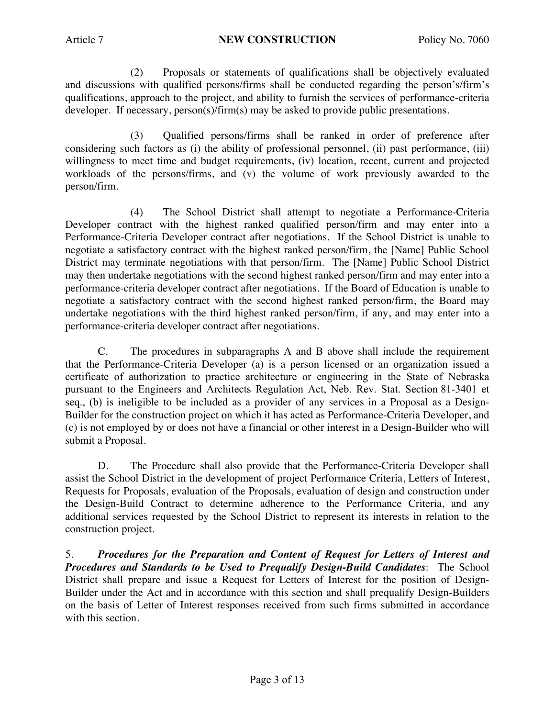(2) Proposals or statements of qualifications shall be objectively evaluated and discussions with qualified persons/firms shall be conducted regarding the person's/firm's qualifications, approach to the project, and ability to furnish the services of performance-criteria developer. If necessary, person(s)/firm(s) may be asked to provide public presentations.

(3) Qualified persons/firms shall be ranked in order of preference after considering such factors as (i) the ability of professional personnel, (ii) past performance, (iii) willingness to meet time and budget requirements, (iv) location, recent, current and projected workloads of the persons/firms, and (v) the volume of work previously awarded to the person/firm.

(4) The School District shall attempt to negotiate a Performance-Criteria Developer contract with the highest ranked qualified person/firm and may enter into a Performance-Criteria Developer contract after negotiations. If the School District is unable to negotiate a satisfactory contract with the highest ranked person/firm, the [Name] Public School District may terminate negotiations with that person/firm. The [Name] Public School District may then undertake negotiations with the second highest ranked person/firm and may enter into a performance-criteria developer contract after negotiations. If the Board of Education is unable to negotiate a satisfactory contract with the second highest ranked person/firm, the Board may undertake negotiations with the third highest ranked person/firm, if any, and may enter into a performance-criteria developer contract after negotiations.

C. The procedures in subparagraphs A and B above shall include the requirement that the Performance-Criteria Developer (a) is a person licensed or an organization issued a certificate of authorization to practice architecture or engineering in the State of Nebraska pursuant to the Engineers and Architects Regulation Act, Neb. Rev. Stat. Section 81-3401 et seq., (b) is ineligible to be included as a provider of any services in a Proposal as a Design-Builder for the construction project on which it has acted as Performance-Criteria Developer, and (c) is not employed by or does not have a financial or other interest in a Design-Builder who will submit a Proposal.

D. The Procedure shall also provide that the Performance-Criteria Developer shall assist the School District in the development of project Performance Criteria, Letters of Interest, Requests for Proposals, evaluation of the Proposals, evaluation of design and construction under the Design-Build Contract to determine adherence to the Performance Criteria, and any additional services requested by the School District to represent its interests in relation to the construction project.

5. *Procedures for the Preparation and Content of Request for Letters of Interest and Procedures and Standards to be Used to Prequalify Design-Build Candidates*: The School District shall prepare and issue a Request for Letters of Interest for the position of Design-Builder under the Act and in accordance with this section and shall prequalify Design-Builders on the basis of Letter of Interest responses received from such firms submitted in accordance with this section.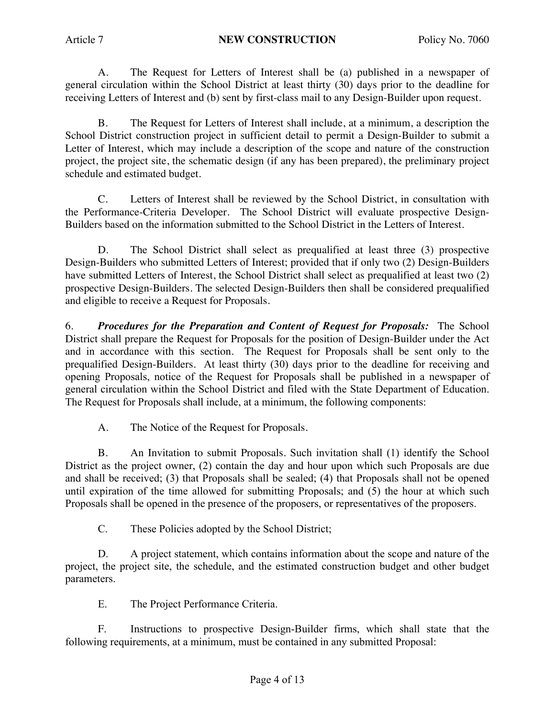A. The Request for Letters of Interest shall be (a) published in a newspaper of general circulation within the School District at least thirty (30) days prior to the deadline for receiving Letters of Interest and (b) sent by first-class mail to any Design-Builder upon request.

B. The Request for Letters of Interest shall include, at a minimum, a description the School District construction project in sufficient detail to permit a Design-Builder to submit a Letter of Interest, which may include a description of the scope and nature of the construction project, the project site, the schematic design (if any has been prepared), the preliminary project schedule and estimated budget.

C. Letters of Interest shall be reviewed by the School District, in consultation with the Performance-Criteria Developer. The School District will evaluate prospective Design-Builders based on the information submitted to the School District in the Letters of Interest.

D. The School District shall select as prequalified at least three (3) prospective Design-Builders who submitted Letters of Interest; provided that if only two (2) Design-Builders have submitted Letters of Interest, the School District shall select as prequalified at least two (2) prospective Design-Builders. The selected Design-Builders then shall be considered prequalified and eligible to receive a Request for Proposals.

6. *Procedures for the Preparation and Content of Request for Proposals:* The School District shall prepare the Request for Proposals for the position of Design-Builder under the Act and in accordance with this section. The Request for Proposals shall be sent only to the prequalified Design-Builders. At least thirty (30) days prior to the deadline for receiving and opening Proposals, notice of the Request for Proposals shall be published in a newspaper of general circulation within the School District and filed with the State Department of Education. The Request for Proposals shall include, at a minimum, the following components:

A. The Notice of the Request for Proposals.

B. An Invitation to submit Proposals. Such invitation shall (1) identify the School District as the project owner, (2) contain the day and hour upon which such Proposals are due and shall be received; (3) that Proposals shall be sealed; (4) that Proposals shall not be opened until expiration of the time allowed for submitting Proposals; and (5) the hour at which such Proposals shall be opened in the presence of the proposers, or representatives of the proposers.

C. These Policies adopted by the School District;

D. A project statement, which contains information about the scope and nature of the project, the project site, the schedule, and the estimated construction budget and other budget parameters.

E. The Project Performance Criteria.

F. Instructions to prospective Design-Builder firms, which shall state that the following requirements, at a minimum, must be contained in any submitted Proposal: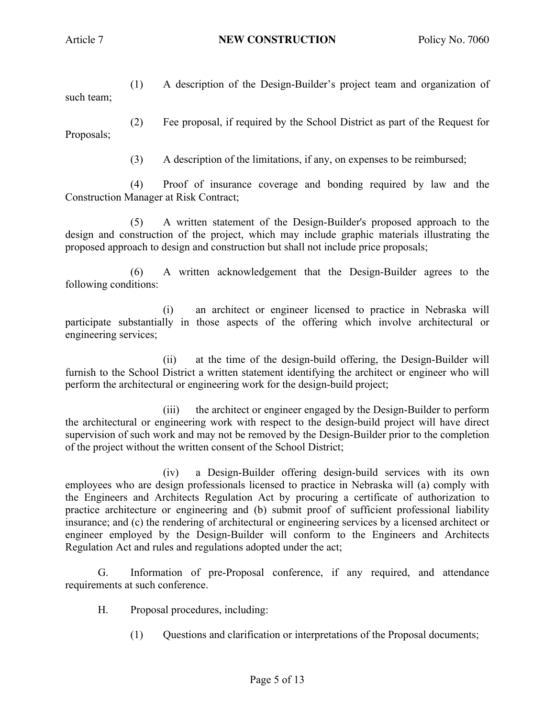(1) A description of the Design-Builder's project team and organization of such team;

(2) Fee proposal, if required by the School District as part of the Request for Proposals;

(3) A description of the limitations, if any, on expenses to be reimbursed;

(4) Proof of insurance coverage and bonding required by law and the Construction Manager at Risk Contract;

(5) A written statement of the Design-Builder's proposed approach to the design and construction of the project, which may include graphic materials illustrating the proposed approach to design and construction but shall not include price proposals;

(6) A written acknowledgement that the Design-Builder agrees to the following conditions:

(i) an architect or engineer licensed to practice in Nebraska will participate substantially in those aspects of the offering which involve architectural or engineering services;

(ii) at the time of the design-build offering, the Design-Builder will furnish to the School District a written statement identifying the architect or engineer who will perform the architectural or engineering work for the design-build project;

(iii) the architect or engineer engaged by the Design-Builder to perform the architectural or engineering work with respect to the design-build project will have direct supervision of such work and may not be removed by the Design-Builder prior to the completion of the project without the written consent of the School District;

(iv) a Design-Builder offering design-build services with its own employees who are design professionals licensed to practice in Nebraska will (a) comply with the Engineers and Architects Regulation Act by procuring a certificate of authorization to practice architecture or engineering and (b) submit proof of sufficient professional liability insurance; and (c) the rendering of architectural or engineering services by a licensed architect or engineer employed by the Design-Builder will conform to the Engineers and Architects Regulation Act and rules and regulations adopted under the act;

G. Information of pre-Proposal conference, if any required, and attendance requirements at such conference.

H. Proposal procedures, including:

(1) Questions and clarification or interpretations of the Proposal documents;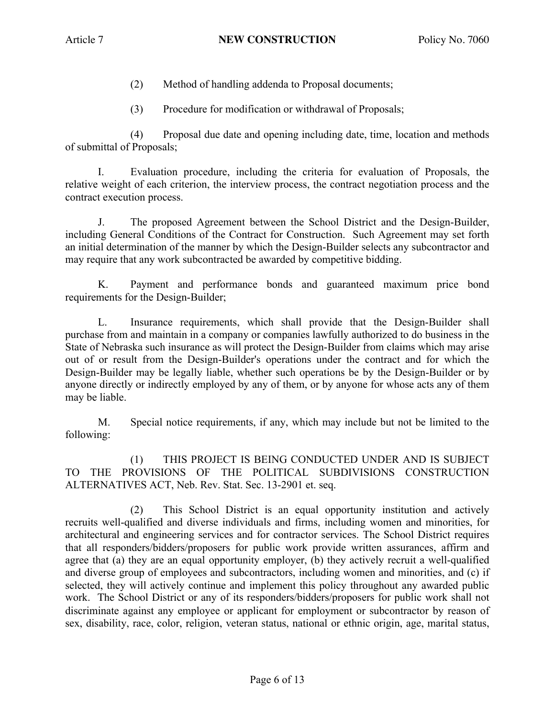- (2) Method of handling addenda to Proposal documents;
- (3) Procedure for modification or withdrawal of Proposals;

(4) Proposal due date and opening including date, time, location and methods of submittal of Proposals;

I. Evaluation procedure, including the criteria for evaluation of Proposals, the relative weight of each criterion, the interview process, the contract negotiation process and the contract execution process.

J. The proposed Agreement between the School District and the Design-Builder, including General Conditions of the Contract for Construction. Such Agreement may set forth an initial determination of the manner by which the Design-Builder selects any subcontractor and may require that any work subcontracted be awarded by competitive bidding.

K. Payment and performance bonds and guaranteed maximum price bond requirements for the Design-Builder;

L. Insurance requirements, which shall provide that the Design-Builder shall purchase from and maintain in a company or companies lawfully authorized to do business in the State of Nebraska such insurance as will protect the Design-Builder from claims which may arise out of or result from the Design-Builder's operations under the contract and for which the Design-Builder may be legally liable, whether such operations be by the Design-Builder or by anyone directly or indirectly employed by any of them, or by anyone for whose acts any of them may be liable.

M. Special notice requirements, if any, which may include but not be limited to the following:

(1) THIS PROJECT IS BEING CONDUCTED UNDER AND IS SUBJECT TO THE PROVISIONS OF THE POLITICAL SUBDIVISIONS CONSTRUCTION ALTERNATIVES ACT, Neb. Rev. Stat. Sec. 13-2901 et. seq.

(2) This School District is an equal opportunity institution and actively recruits well-qualified and diverse individuals and firms, including women and minorities, for architectural and engineering services and for contractor services. The School District requires that all responders/bidders/proposers for public work provide written assurances, affirm and agree that (a) they are an equal opportunity employer, (b) they actively recruit a well-qualified and diverse group of employees and subcontractors, including women and minorities, and (c) if selected, they will actively continue and implement this policy throughout any awarded public work. The School District or any of its responders/bidders/proposers for public work shall not discriminate against any employee or applicant for employment or subcontractor by reason of sex, disability, race, color, religion, veteran status, national or ethnic origin, age, marital status,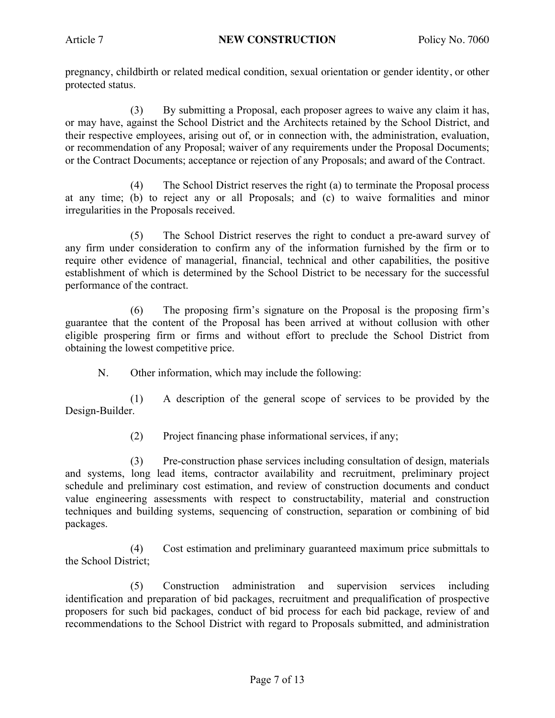pregnancy, childbirth or related medical condition, sexual orientation or gender identity, or other protected status.

(3) By submitting a Proposal, each proposer agrees to waive any claim it has, or may have, against the School District and the Architects retained by the School District, and their respective employees, arising out of, or in connection with, the administration, evaluation, or recommendation of any Proposal; waiver of any requirements under the Proposal Documents; or the Contract Documents; acceptance or rejection of any Proposals; and award of the Contract.

(4) The School District reserves the right (a) to terminate the Proposal process at any time; (b) to reject any or all Proposals; and (c) to waive formalities and minor irregularities in the Proposals received.

(5) The School District reserves the right to conduct a pre-award survey of any firm under consideration to confirm any of the information furnished by the firm or to require other evidence of managerial, financial, technical and other capabilities, the positive establishment of which is determined by the School District to be necessary for the successful performance of the contract.

(6) The proposing firm's signature on the Proposal is the proposing firm's guarantee that the content of the Proposal has been arrived at without collusion with other eligible prospering firm or firms and without effort to preclude the School District from obtaining the lowest competitive price.

N. Other information, which may include the following:

(1) A description of the general scope of services to be provided by the Design-Builder.

(2) Project financing phase informational services, if any;

(3) Pre-construction phase services including consultation of design, materials and systems, long lead items, contractor availability and recruitment, preliminary project schedule and preliminary cost estimation, and review of construction documents and conduct value engineering assessments with respect to constructability, material and construction techniques and building systems, sequencing of construction, separation or combining of bid packages.

(4) Cost estimation and preliminary guaranteed maximum price submittals to the School District;

(5) Construction administration and supervision services including identification and preparation of bid packages, recruitment and prequalification of prospective proposers for such bid packages, conduct of bid process for each bid package, review of and recommendations to the School District with regard to Proposals submitted, and administration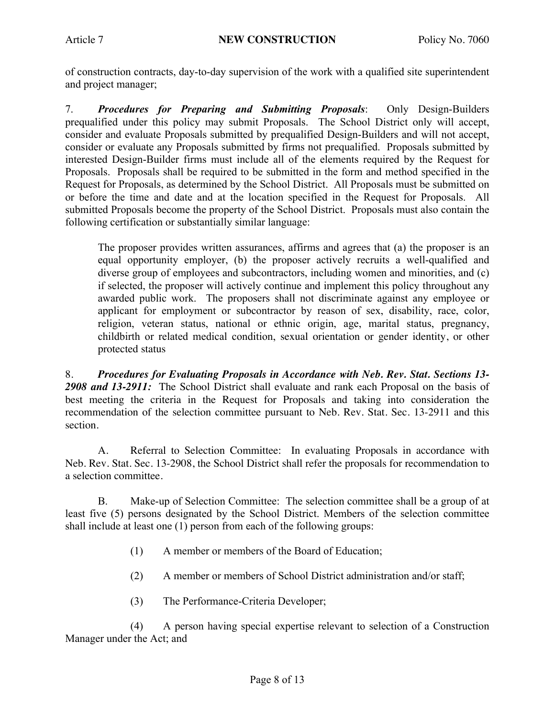of construction contracts, day-to-day supervision of the work with a qualified site superintendent and project manager;

7. *Procedures for Preparing and Submitting Proposals*: Only Design-Builders prequalified under this policy may submit Proposals. The School District only will accept, consider and evaluate Proposals submitted by prequalified Design-Builders and will not accept, consider or evaluate any Proposals submitted by firms not prequalified. Proposals submitted by interested Design-Builder firms must include all of the elements required by the Request for Proposals. Proposals shall be required to be submitted in the form and method specified in the Request for Proposals, as determined by the School District. All Proposals must be submitted on or before the time and date and at the location specified in the Request for Proposals. All submitted Proposals become the property of the School District. Proposals must also contain the following certification or substantially similar language:

The proposer provides written assurances, affirms and agrees that (a) the proposer is an equal opportunity employer, (b) the proposer actively recruits a well-qualified and diverse group of employees and subcontractors, including women and minorities, and (c) if selected, the proposer will actively continue and implement this policy throughout any awarded public work. The proposers shall not discriminate against any employee or applicant for employment or subcontractor by reason of sex, disability, race, color, religion, veteran status, national or ethnic origin, age, marital status, pregnancy, childbirth or related medical condition, sexual orientation or gender identity, or other protected status

8. *Procedures for Evaluating Proposals in Accordance with Neb. Rev. Stat. Sections 13- 2908 and 13-2911:* The School District shall evaluate and rank each Proposal on the basis of best meeting the criteria in the Request for Proposals and taking into consideration the recommendation of the selection committee pursuant to Neb. Rev. Stat. Sec. 13-2911 and this section.

A. Referral to Selection Committee: In evaluating Proposals in accordance with Neb. Rev. Stat. Sec. 13-2908, the School District shall refer the proposals for recommendation to a selection committee.

B. Make-up of Selection Committee: The selection committee shall be a group of at least five (5) persons designated by the School District. Members of the selection committee shall include at least one (1) person from each of the following groups:

- (1) A member or members of the Board of Education;
- (2) A member or members of School District administration and/or staff;
- (3) The Performance-Criteria Developer;

(4) A person having special expertise relevant to selection of a Construction Manager under the Act; and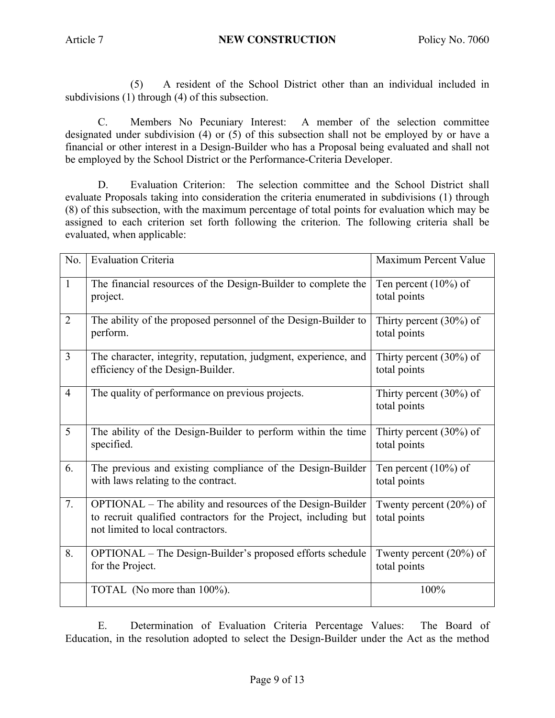(5) A resident of the School District other than an individual included in subdivisions (1) through (4) of this subsection.

C. Members No Pecuniary Interest: A member of the selection committee designated under subdivision (4) or (5) of this subsection shall not be employed by or have a financial or other interest in a Design-Builder who has a Proposal being evaluated and shall not be employed by the School District or the Performance-Criteria Developer.

D. Evaluation Criterion: The selection committee and the School District shall evaluate Proposals taking into consideration the criteria enumerated in subdivisions (1) through (8) of this subsection, with the maximum percentage of total points for evaluation which may be assigned to each criterion set forth following the criterion. The following criteria shall be evaluated, when applicable:

| No.            | <b>Evaluation Criteria</b>                                                                                                                                         | Maximum Percent Value                      |
|----------------|--------------------------------------------------------------------------------------------------------------------------------------------------------------------|--------------------------------------------|
| $\mathbf{1}$   | The financial resources of the Design-Builder to complete the<br>project.                                                                                          | Ten percent $(10\%)$ of<br>total points    |
| $\overline{2}$ | The ability of the proposed personnel of the Design-Builder to<br>perform.                                                                                         | Thirty percent $(30\%)$ of<br>total points |
| 3              | The character, integrity, reputation, judgment, experience, and<br>efficiency of the Design-Builder.                                                               | Thirty percent $(30\%)$ of<br>total points |
| $\overline{4}$ | The quality of performance on previous projects.                                                                                                                   | Thirty percent $(30\%)$ of<br>total points |
| 5              | The ability of the Design-Builder to perform within the time<br>specified.                                                                                         | Thirty percent $(30\%)$ of<br>total points |
| 6.             | The previous and existing compliance of the Design-Builder<br>with laws relating to the contract.                                                                  | Ten percent $(10\%)$ of<br>total points    |
| 7.             | OPTIONAL – The ability and resources of the Design-Builder<br>to recruit qualified contractors for the Project, including but<br>not limited to local contractors. | Twenty percent $(20\%)$ of<br>total points |
| 8.             | OPTIONAL – The Design-Builder's proposed efforts schedule<br>for the Project.                                                                                      | Twenty percent $(20\%)$ of<br>total points |
|                | TOTAL (No more than 100%).                                                                                                                                         | 100%                                       |

E. Determination of Evaluation Criteria Percentage Values: The Board of Education, in the resolution adopted to select the Design-Builder under the Act as the method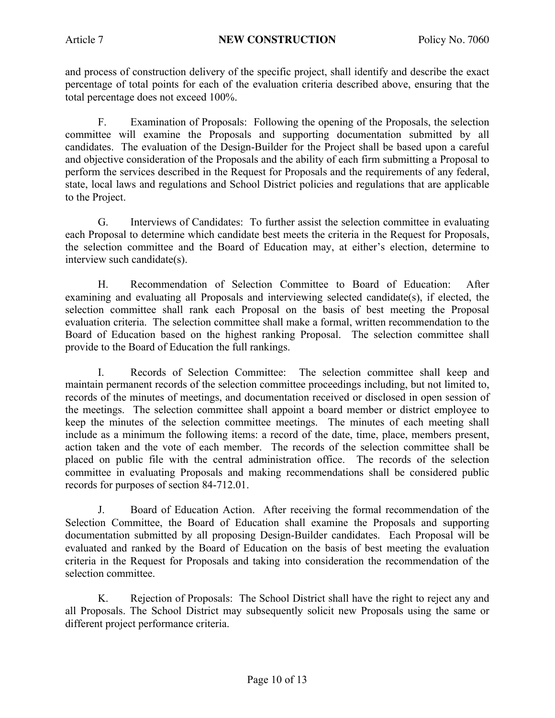and process of construction delivery of the specific project, shall identify and describe the exact percentage of total points for each of the evaluation criteria described above, ensuring that the total percentage does not exceed 100%.

F. Examination of Proposals: Following the opening of the Proposals, the selection committee will examine the Proposals and supporting documentation submitted by all candidates. The evaluation of the Design-Builder for the Project shall be based upon a careful and objective consideration of the Proposals and the ability of each firm submitting a Proposal to perform the services described in the Request for Proposals and the requirements of any federal, state, local laws and regulations and School District policies and regulations that are applicable to the Project.

G. Interviews of Candidates: To further assist the selection committee in evaluating each Proposal to determine which candidate best meets the criteria in the Request for Proposals, the selection committee and the Board of Education may, at either's election, determine to interview such candidate(s).

H. Recommendation of Selection Committee to Board of Education: After examining and evaluating all Proposals and interviewing selected candidate(s), if elected, the selection committee shall rank each Proposal on the basis of best meeting the Proposal evaluation criteria. The selection committee shall make a formal, written recommendation to the Board of Education based on the highest ranking Proposal. The selection committee shall provide to the Board of Education the full rankings.

I. Records of Selection Committee: The selection committee shall keep and maintain permanent records of the selection committee proceedings including, but not limited to, records of the minutes of meetings, and documentation received or disclosed in open session of the meetings. The selection committee shall appoint a board member or district employee to keep the minutes of the selection committee meetings. The minutes of each meeting shall include as a minimum the following items: a record of the date, time, place, members present, action taken and the vote of each member. The records of the selection committee shall be placed on public file with the central administration office. The records of the selection committee in evaluating Proposals and making recommendations shall be considered public records for purposes of section 84-712.01.

J. Board of Education Action. After receiving the formal recommendation of the Selection Committee, the Board of Education shall examine the Proposals and supporting documentation submitted by all proposing Design-Builder candidates. Each Proposal will be evaluated and ranked by the Board of Education on the basis of best meeting the evaluation criteria in the Request for Proposals and taking into consideration the recommendation of the selection committee.

K. Rejection of Proposals: The School District shall have the right to reject any and all Proposals. The School District may subsequently solicit new Proposals using the same or different project performance criteria.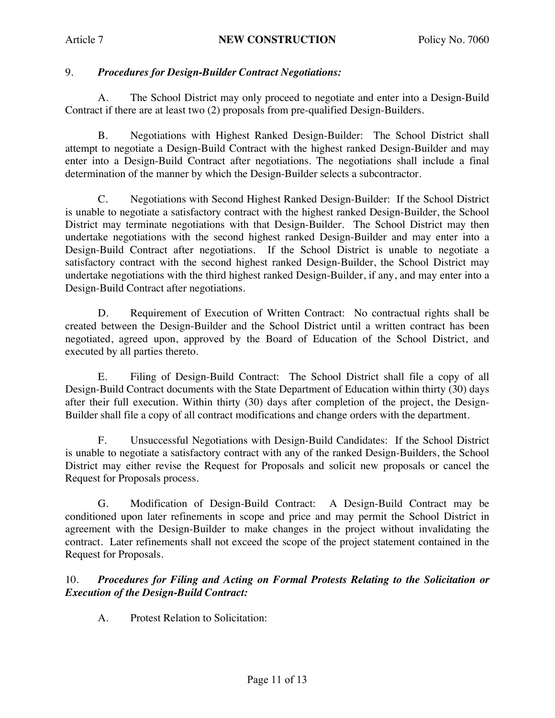# 9. *Procedures for Design-Builder Contract Negotiations:*

A. The School District may only proceed to negotiate and enter into a Design-Build Contract if there are at least two (2) proposals from pre-qualified Design-Builders.

B. Negotiations with Highest Ranked Design-Builder: The School District shall attempt to negotiate a Design-Build Contract with the highest ranked Design-Builder and may enter into a Design-Build Contract after negotiations. The negotiations shall include a final determination of the manner by which the Design-Builder selects a subcontractor.

C. Negotiations with Second Highest Ranked Design-Builder: If the School District is unable to negotiate a satisfactory contract with the highest ranked Design-Builder, the School District may terminate negotiations with that Design-Builder.The School District may then undertake negotiations with the second highest ranked Design-Builder and may enter into a Design-Build Contract after negotiations. If the School District is unable to negotiate a satisfactory contract with the second highest ranked Design-Builder, the School District may undertake negotiations with the third highest ranked Design-Builder, if any, and may enter into a Design-Build Contract after negotiations.

D. Requirement of Execution of Written Contract: No contractual rights shall be created between the Design-Builder and the School District until a written contract has been negotiated, agreed upon, approved by the Board of Education of the School District, and executed by all parties thereto.

E. Filing of Design-Build Contract: The School District shall file a copy of all Design-Build Contract documents with the State Department of Education within thirty (30) days after their full execution. Within thirty (30) days after completion of the project, the Design-Builder shall file a copy of all contract modifications and change orders with the department.

F. Unsuccessful Negotiations with Design-Build Candidates: If the School District is unable to negotiate a satisfactory contract with any of the ranked Design-Builders, the School District may either revise the Request for Proposals and solicit new proposals or cancel the Request for Proposals process.

G. Modification of Design-Build Contract: A Design-Build Contract may be conditioned upon later refinements in scope and price and may permit the School District in agreement with the Design-Builder to make changes in the project without invalidating the contract. Later refinements shall not exceed the scope of the project statement contained in the Request for Proposals.

## 10. *Procedures for Filing and Acting on Formal Protests Relating to the Solicitation or Execution of the Design-Build Contract:*

A. Protest Relation to Solicitation: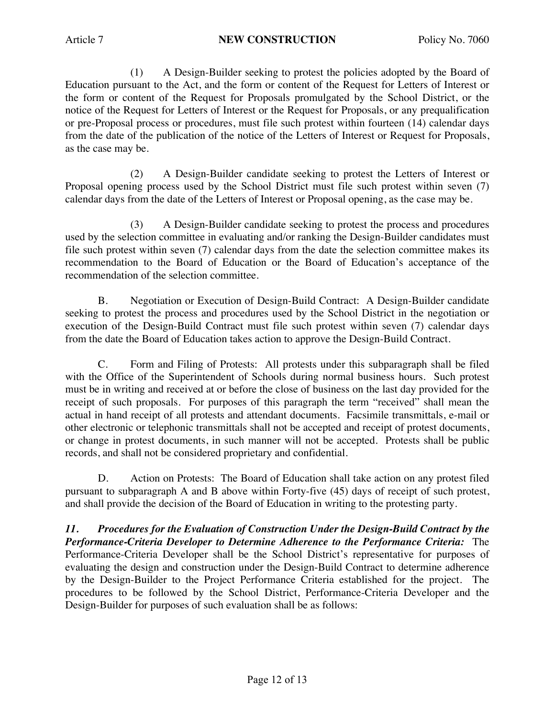(1) A Design-Builder seeking to protest the policies adopted by the Board of Education pursuant to the Act, and the form or content of the Request for Letters of Interest or the form or content of the Request for Proposals promulgated by the School District, or the notice of the Request for Letters of Interest or the Request for Proposals, or any prequalification or pre-Proposal process or procedures, must file such protest within fourteen (14) calendar days from the date of the publication of the notice of the Letters of Interest or Request for Proposals, as the case may be.

(2) A Design-Builder candidate seeking to protest the Letters of Interest or Proposal opening process used by the School District must file such protest within seven (7) calendar days from the date of the Letters of Interest or Proposal opening, as the case may be.

(3) A Design-Builder candidate seeking to protest the process and procedures used by the selection committee in evaluating and/or ranking the Design-Builder candidates must file such protest within seven (7) calendar days from the date the selection committee makes its recommendation to the Board of Education or the Board of Education's acceptance of the recommendation of the selection committee.

B. Negotiation or Execution of Design-Build Contract: A Design-Builder candidate seeking to protest the process and procedures used by the School District in the negotiation or execution of the Design-Build Contract must file such protest within seven (7) calendar days from the date the Board of Education takes action to approve the Design-Build Contract.

C. Form and Filing of Protests: All protests under this subparagraph shall be filed with the Office of the Superintendent of Schools during normal business hours. Such protest must be in writing and received at or before the close of business on the last day provided for the receipt of such proposals. For purposes of this paragraph the term "received" shall mean the actual in hand receipt of all protests and attendant documents. Facsimile transmittals, e-mail or other electronic or telephonic transmittals shall not be accepted and receipt of protest documents, or change in protest documents, in such manner will not be accepted. Protests shall be public records, and shall not be considered proprietary and confidential.

D. Action on Protests: The Board of Education shall take action on any protest filed pursuant to subparagraph A and B above within Forty-five (45) days of receipt of such protest, and shall provide the decision of the Board of Education in writing to the protesting party.

*11. Procedures for the Evaluation of Construction Under the Design-Build Contract by the Performance-Criteria Developer to Determine Adherence to the Performance Criteria:* The Performance-Criteria Developer shall be the School District's representative for purposes of evaluating the design and construction under the Design-Build Contract to determine adherence by the Design-Builder to the Project Performance Criteria established for the project. The procedures to be followed by the School District, Performance-Criteria Developer and the Design-Builder for purposes of such evaluation shall be as follows: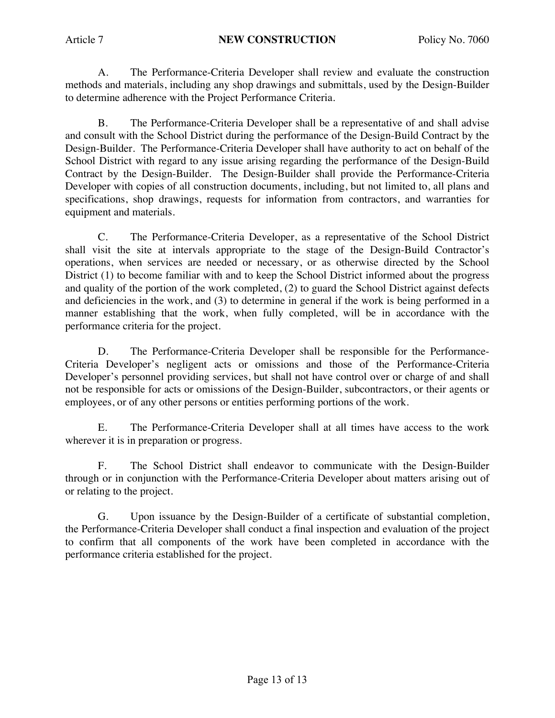A. The Performance-Criteria Developer shall review and evaluate the construction methods and materials, including any shop drawings and submittals, used by the Design-Builder to determine adherence with the Project Performance Criteria.

B. The Performance-Criteria Developer shall be a representative of and shall advise and consult with the School District during the performance of the Design-Build Contract by the Design-Builder. The Performance-Criteria Developer shall have authority to act on behalf of the School District with regard to any issue arising regarding the performance of the Design-Build Contract by the Design-Builder. The Design-Builder shall provide the Performance-Criteria Developer with copies of all construction documents, including, but not limited to, all plans and specifications, shop drawings, requests for information from contractors, and warranties for equipment and materials.

C. The Performance-Criteria Developer, as a representative of the School District shall visit the site at intervals appropriate to the stage of the Design-Build Contractor's operations, when services are needed or necessary, or as otherwise directed by the School District (1) to become familiar with and to keep the School District informed about the progress and quality of the portion of the work completed, (2) to guard the School District against defects and deficiencies in the work, and (3) to determine in general if the work is being performed in a manner establishing that the work, when fully completed, will be in accordance with the performance criteria for the project.

D. The Performance-Criteria Developer shall be responsible for the Performance-Criteria Developer's negligent acts or omissions and those of the Performance-Criteria Developer's personnel providing services, but shall not have control over or charge of and shall not be responsible for acts or omissions of the Design-Builder, subcontractors, or their agents or employees, or of any other persons or entities performing portions of the work.

E. The Performance-Criteria Developer shall at all times have access to the work wherever it is in preparation or progress.

F. The School District shall endeavor to communicate with the Design-Builder through or in conjunction with the Performance-Criteria Developer about matters arising out of or relating to the project.

G. Upon issuance by the Design-Builder of a certificate of substantial completion, the Performance-Criteria Developer shall conduct a final inspection and evaluation of the project to confirm that all components of the work have been completed in accordance with the performance criteria established for the project.